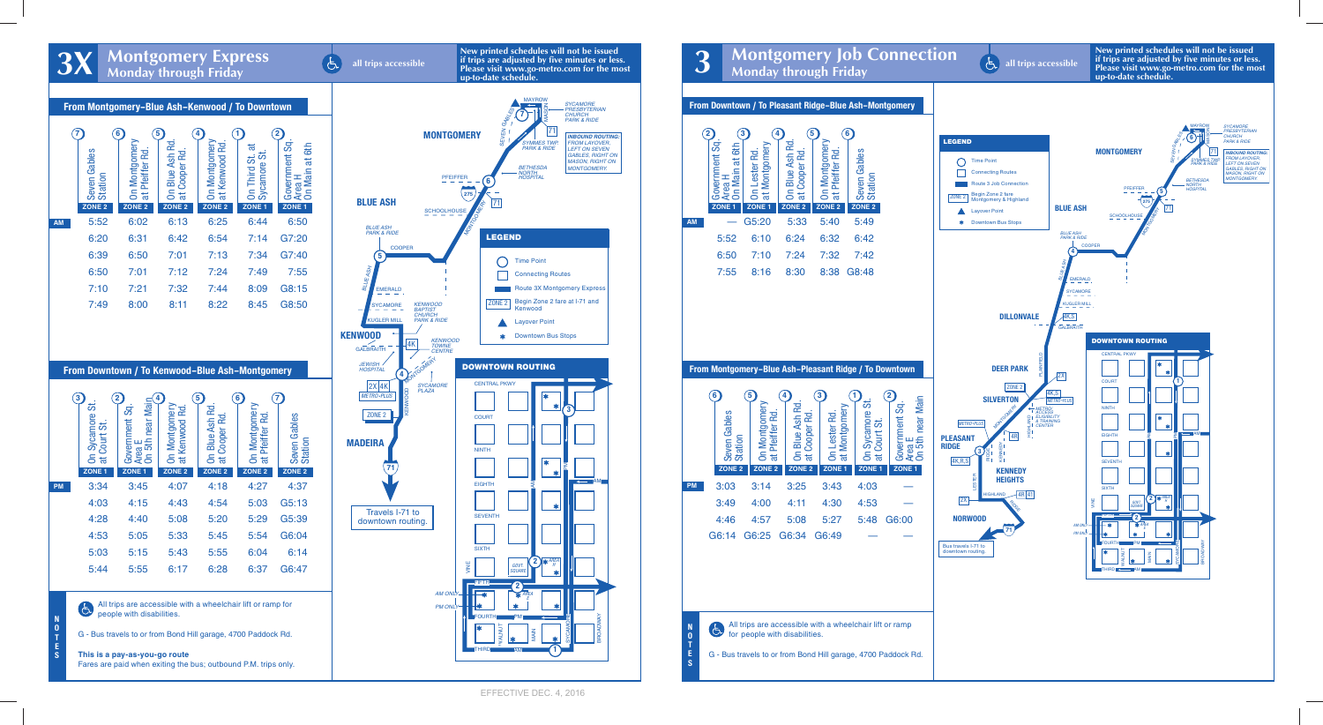

**New printed schedules will not be issued if trips are adjusted by five minutes or less. Please visit www.go-metro.com for the most**<br>Monday through Friday all trips accessible<br>up-to-date schedule. all trips accessible<br>**Please visit www.go-metro.com for the most**<br>**up-to-date schedule.** 



|           | 7<br>Gables<br>Seven (<br>Station<br>ZONE <sub>2</sub> | $6^{\circ}$<br>On Montgomery<br>at Pfeiffer Rd<br>ZONE <sub>2</sub> | 5<br>On Blue Ash Rd.<br>Cooper Rd<br>$\ddot{a}$<br>ZONE <sub>2</sub> | 4<br>On Montgomery<br>at Kenwood Rd<br>ZONE <sub>2</sub> | ಹ<br>ö<br>On Third St.<br>Sycamore St<br>ZONE <sub>1</sub> | 2<br>Government Sq<br>6th<br>ã<br>Area H<br>On Main<br>ZONE <sub>1</sub> |
|-----------|--------------------------------------------------------|---------------------------------------------------------------------|----------------------------------------------------------------------|----------------------------------------------------------|------------------------------------------------------------|--------------------------------------------------------------------------|
| <b>AM</b> | 5:52                                                   | 6:02                                                                | 6:13                                                                 | 6:25                                                     | 6:44                                                       | 6:50                                                                     |
|           | 6:20                                                   | 6:31                                                                | 6:42                                                                 | 6:54                                                     | 7:14                                                       | G7:20                                                                    |
|           | 6:39                                                   | 6:50                                                                | 7:01                                                                 | 7:13                                                     | 7:34                                                       | G7:40                                                                    |
|           | 6:50                                                   | 7:01                                                                | 7:12                                                                 | 7:24                                                     | 7:49                                                       | 7:55                                                                     |
|           | 7:10                                                   | 7:21                                                                | 7:32                                                                 | 7:44                                                     | 8:09                                                       | G8:15                                                                    |
|           | 7:49                                                   | 8:00                                                                | 8:11                                                                 | 8:22                                                     | 8:45                                                       | G8:50                                                                    |

| <b>From Downtown / To Kenwood-Blue Ash-Montgomery</b> |                                         |                                                        |                                                    |                                                |                                                 |                              |  |  |  |  |
|-------------------------------------------------------|-----------------------------------------|--------------------------------------------------------|----------------------------------------------------|------------------------------------------------|-------------------------------------------------|------------------------------|--|--|--|--|
|                                                       | 3<br>ಕ<br>On Sycamore :<br>at Court St. | 2<br>near Main<br>အိ<br>Government<br>Area E<br>On 5th | 4<br>On Montgomery<br>Kenwood Rd<br>$\overline{a}$ | 5<br>On Blue Ash Rd<br>Cooper Rd<br>$\ddot{a}$ | 6<br>On Montgomery<br>Pfeiffer Rd<br>$\ddot{a}$ | 7<br>Seven Gables<br>Station |  |  |  |  |
|                                                       | ZONE <sub>1</sub>                       | ZONE <sub>1</sub>                                      | ZONE <sub>2</sub>                                  | ZONE <sub>2</sub>                              | ZONE <sub>2</sub>                               | ZONE <sub>2</sub>            |  |  |  |  |
| PM                                                    | 3:34                                    | 3:45                                                   | 4:07                                               | 4:18                                           | 4:27                                            | 4:37                         |  |  |  |  |
|                                                       | 4:03                                    | 4:15                                                   | 4:43                                               | 4:54                                           | 5:03                                            | G5:13                        |  |  |  |  |
|                                                       | 4:28                                    | 4:40                                                   | 5:08                                               | 5:20                                           | 5:29                                            | G5:39                        |  |  |  |  |
|                                                       | 4:53                                    | 5:05                                                   | 5:33                                               | 5:45                                           | 5:54                                            | G6:04                        |  |  |  |  |
|                                                       | 5:03                                    | 5:15                                                   | 5:43                                               | 5:55                                           | 6:04                                            | 6:14                         |  |  |  |  |
|                                                       | 5:44                                    | 5:55                                                   | 6:17                                               | 6:28                                           | 6:37                                            | G6:47                        |  |  |  |  |

All trips are accessible with a wheelchair lift or ramp for 占 people with disabilities.

G - Bus travels to or from Bond Hill garage, 4700 Paddock Rd.

**N O T E S**

**This is a pay-as-you-go route** Fares are paid when exiting the bus; outbound P.M. trips only.